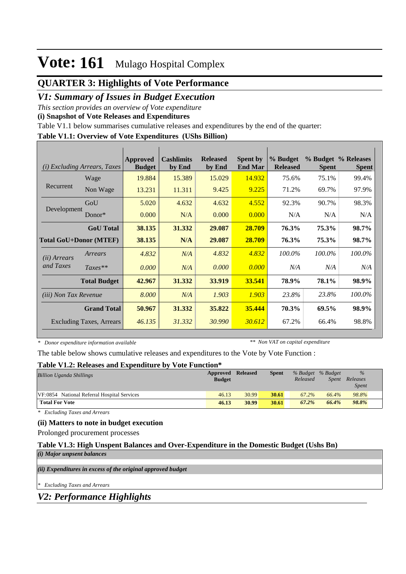### **QUARTER 3: Highlights of Vote Performance**

### *V1: Summary of Issues in Budget Execution*

*This section provides an overview of Vote expenditure* 

**(i) Snapshot of Vote Releases and Expenditures**

Table V1.1 below summarises cumulative releases and expenditures by the end of the quarter:

#### **Table V1.1: Overview of Vote Expenditures (UShs Billion)**

| (i)                           | <i>Excluding Arrears, Taxes</i> | Approved<br><b>Budget</b> | <b>Cashlimits</b><br>by End | <b>Released</b><br>by End | <b>Spent by</b><br><b>End Mar</b> | % Budget<br><b>Released</b> | <b>Spent</b> | % Budget % Releases<br><b>Spent</b> |
|-------------------------------|---------------------------------|---------------------------|-----------------------------|---------------------------|-----------------------------------|-----------------------------|--------------|-------------------------------------|
|                               | Wage                            | 19.884                    | 15.389                      | 15.029                    | 14.932                            | 75.6%                       | 75.1%        | 99.4%                               |
| Recurrent                     | Non Wage                        | 13.231                    | 11.311                      | 9.425                     | 9.225                             | 71.2%                       | 69.7%        | 97.9%                               |
|                               | GoU                             | 5.020                     | 4.632                       | 4.632                     | 4.552                             | 92.3%                       | 90.7%        | 98.3%                               |
| Development                   | $Donor*$                        | 0.000                     | N/A                         | 0.000                     | 0.000                             | N/A                         | N/A          | N/A                                 |
|                               | <b>GoU</b> Total                | 38.135                    | 31.332                      | 29.087                    | 28.709                            | 76.3%                       | 75.3%        | 98.7%                               |
| <b>Total GoU+Donor (MTEF)</b> |                                 | 38.135                    | N/A                         | 29.087                    | 28.709                            | 76.3%                       | 75.3%        | 98.7%                               |
| ( <i>ii</i> ) Arrears         | Arrears                         | 4.832                     | N/A                         | 4.832                     | 4.832                             | 100.0%                      | $100.0\%$    | 100.0%                              |
| and Taxes                     | $Taxes**$                       | 0.000                     | N/A                         | 0.000                     | 0.000                             | N/A                         | N/A          | N/A                                 |
|                               | <b>Total Budget</b>             | 42.967                    | 31.332                      | 33.919                    | 33.541                            | 78.9%                       | 78.1%        | 98.9%                               |
| <i>(iii)</i> Non Tax Revenue  |                                 | 8.000                     | N/A                         | 1.903                     | 1.903                             | 23.8%                       | 23.8%        | 100.0%                              |
|                               | <b>Grand Total</b>              | 50.967                    | 31.332                      | 35.822                    | 35.444                            | 70.3%                       | 69.5%        | 98.9%                               |
|                               | <b>Excluding Taxes, Arrears</b> | 46.135                    | 31.332                      | 30.990                    | 30.612                            | 67.2%                       | 66.4%        | 98.8%                               |

*\* Donor expenditure information available*

*\*\* Non VAT on capital expenditure*

The table below shows cumulative releases and expenditures to the Vote by Vote Function :

#### **Table V1.2: Releases and Expenditure by Vote Function\***

| <b>Billion Uganda Shillings</b>             | <b>Approved Released</b><br><b>Budget</b> |       | <b>Spent</b> | Released | % Budget % Budget<br>Spent | $\%$<br>Releases<br><i>Spent</i> |
|---------------------------------------------|-------------------------------------------|-------|--------------|----------|----------------------------|----------------------------------|
| VF:0854 National Referral Hospital Services | 46.13                                     | 30.99 | 30.61        | 67.2%    | 66.4%                      | 98.8%                            |
| <b>Total For Vote</b>                       | 46.13                                     | 30.99 | 30.61        | 67.2%    | 66.4%                      | 98.8%                            |

*\* Excluding Taxes and Arrears*

#### **(ii) Matters to note in budget execution**

Prolonged procurement processes

#### **Table V1.3: High Unspent Balances and Over-Expenditure in the Domestic Budget (Ushs Bn)** *(i) Major unpsent balances*

*(ii) Expenditures in excess of the original approved budget*

*\* Excluding Taxes and Arrears*

*V2: Performance Highlights*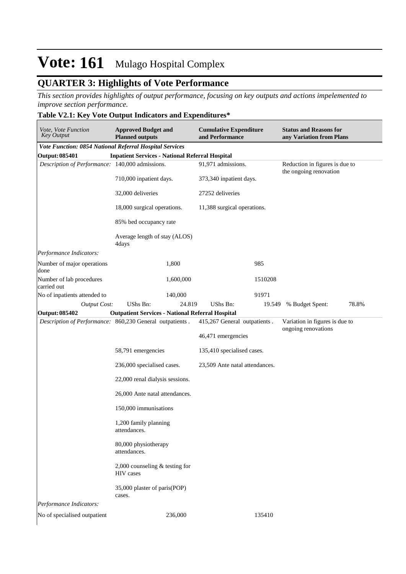### **QUARTER 3: Highlights of Vote Performance**

*This section provides highlights of output performance, focusing on key outputs and actions impelemented to improve section performance.*

### **Table V2.1: Key Vote Output Indicators and Expenditures\***

| Vote, Vote Function<br><b>Key Output</b>                 | <b>Approved Budget and</b><br><b>Planned outputs</b>    |           | <b>Cumulative Expenditure</b><br>and Performance |         | <b>Status and Reasons for</b><br>any Variation from Plans |       |
|----------------------------------------------------------|---------------------------------------------------------|-----------|--------------------------------------------------|---------|-----------------------------------------------------------|-------|
| Vote Function: 0854 National Referral Hospital Services  |                                                         |           |                                                  |         |                                                           |       |
| <b>Output: 085401</b>                                    | <b>Inpatient Services - National Referral Hospital</b>  |           |                                                  |         |                                                           |       |
| Description of Performance: 140,000 admissions.          |                                                         |           | 91,971 admissions.                               |         | Reduction in figures is due to<br>the ongoing renovation  |       |
|                                                          | 710,000 inpatient days.                                 |           | 373,340 inpatient days.                          |         |                                                           |       |
|                                                          | 32,000 deliveries                                       |           | 27252 deliveries                                 |         |                                                           |       |
|                                                          | 18,000 surgical operations.                             |           | 11,388 surgical operations.                      |         |                                                           |       |
|                                                          | 85% bed occupancy rate                                  |           |                                                  |         |                                                           |       |
|                                                          | Average length of stay (ALOS)<br>4days                  |           |                                                  |         |                                                           |       |
| Performance Indicators:                                  |                                                         |           |                                                  |         |                                                           |       |
| Number of major operations<br>done                       |                                                         | 1,800     |                                                  | 985     |                                                           |       |
| Number of lab procedures<br>carried out                  |                                                         | 1,600,000 |                                                  | 1510208 |                                                           |       |
| No of inpatients attended to                             |                                                         | 140,000   |                                                  | 91971   |                                                           |       |
| <b>Output Cost:</b>                                      | UShs Bn:                                                | 24.819    | UShs Bn:                                         | 19.549  | % Budget Spent:                                           | 78.8% |
| <b>Output: 085402</b>                                    | <b>Outpatient Services - National Referral Hospital</b> |           |                                                  |         |                                                           |       |
| Description of Performance: 860,230 General outpatients. |                                                         |           | 415,267 General outpatients.                     |         | Variation in figures is due to                            |       |
|                                                          |                                                         |           |                                                  |         | ongoing renovations                                       |       |
|                                                          |                                                         |           | 46,471 emergencies                               |         |                                                           |       |
|                                                          | 58,791 emergencies                                      |           | 135,410 specialised cases.                       |         |                                                           |       |
|                                                          | 236,000 specialised cases.                              |           | 23,509 Ante natal attendances.                   |         |                                                           |       |
|                                                          | 22,000 renal dialysis sessions.                         |           |                                                  |         |                                                           |       |
|                                                          | 26,000 Ante natal attendances.                          |           |                                                  |         |                                                           |       |
|                                                          | 150,000 immunisations                                   |           |                                                  |         |                                                           |       |
|                                                          | 1,200 family planning<br>attendances.                   |           |                                                  |         |                                                           |       |
|                                                          | 80,000 physiotherapy<br>attendances.                    |           |                                                  |         |                                                           |       |
|                                                          | 2,000 counseling $&$ testing for<br>HIV cases           |           |                                                  |         |                                                           |       |
|                                                          | 35,000 plaster of paris(POP)<br>cases.                  |           |                                                  |         |                                                           |       |
| Performance Indicators:                                  |                                                         |           |                                                  |         |                                                           |       |
| No of specialised outpatient                             |                                                         | 236,000   |                                                  | 135410  |                                                           |       |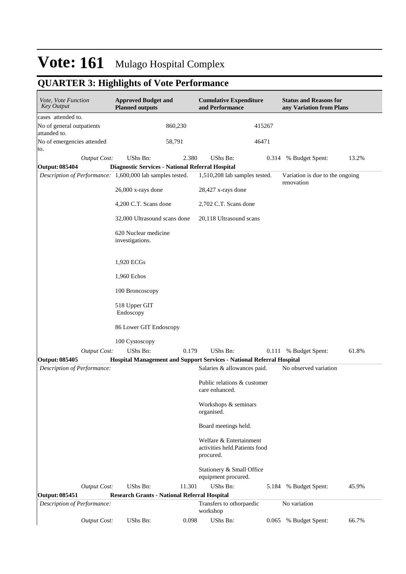## **QUARTER 3: Highlights of Vote Performance**

| Vote, Vote Function<br><b>Key Output</b>                  | <b>Approved Budget and</b><br><b>Planned outputs</b> |         | <b>Cumulative Expenditure</b><br>and Performance                             |       | <b>Status and Reasons for</b><br>any Variation from Plans |       |
|-----------------------------------------------------------|------------------------------------------------------|---------|------------------------------------------------------------------------------|-------|-----------------------------------------------------------|-------|
| cases attended to.                                        |                                                      |         |                                                                              |       |                                                           |       |
| No of general outpatients<br>attanded to.                 |                                                      | 860,230 | 415267                                                                       |       |                                                           |       |
| No of emergencies attended<br>to.                         |                                                      | 58,791  | 46471                                                                        |       |                                                           |       |
| <b>Output Cost:</b>                                       | UShs Bn:                                             | 2.380   | UShs Bn:                                                                     |       | 0.314 % Budget Spent:                                     | 13.2% |
| <b>Output: 085404</b>                                     | Diagnostic Services - National Referral Hospital     |         |                                                                              |       |                                                           |       |
| Description of Performance: 1,600,000 lab samples tested. |                                                      |         | 1,510,208 lab samples tested.                                                |       | Variation is due to the ongoing<br>renovation             |       |
|                                                           | 26,000 x-rays done                                   |         | 28,427 x-rays done                                                           |       |                                                           |       |
|                                                           | 4,200 C.T. Scans done                                |         | 2,702 C.T. Scans done                                                        |       |                                                           |       |
|                                                           | 32,000 Ultrasound scans done                         |         | 20,118 Ultrasound scans                                                      |       |                                                           |       |
|                                                           | 620 Nuclear medicine<br>investigations.              |         |                                                                              |       |                                                           |       |
|                                                           | 1,920 ECGs                                           |         |                                                                              |       |                                                           |       |
|                                                           | 1,960 Echos                                          |         |                                                                              |       |                                                           |       |
|                                                           | 100 Broncoscopy                                      |         |                                                                              |       |                                                           |       |
|                                                           | 518 Upper GIT<br>Endoscopy                           |         |                                                                              |       |                                                           |       |
|                                                           | 86 Lower GIT Endoscopy                               |         |                                                                              |       |                                                           |       |
|                                                           | 100 Cystoscopy                                       |         |                                                                              |       |                                                           |       |
| <b>Output Cost:</b>                                       | UShs Bn:                                             | 0.179   | UShs Bn:                                                                     | 0.111 | % Budget Spent:                                           | 61.8% |
| Output: 085405                                            |                                                      |         | Hospital Management and Support Services - National Referral Hospital        |       |                                                           |       |
| Description of Performance:                               |                                                      |         | Salaries & allowances paid.<br>Public relations & customer<br>care enhanced. |       | No observed variation                                     |       |
|                                                           |                                                      |         | Workshops & seminars<br>organised.                                           |       |                                                           |       |
|                                                           |                                                      |         | Board meetings held.                                                         |       |                                                           |       |
|                                                           |                                                      |         | Welfare & Entertainment<br>activities held.Patients food<br>procured.        |       |                                                           |       |
|                                                           |                                                      |         | Stationery & Small Office<br>equipment procured.                             |       |                                                           |       |
| <b>Output Cost:</b>                                       | UShs Bn:                                             | 11.301  | UShs Bn:                                                                     | 5.184 | % Budget Spent:                                           | 45.9% |
| <b>Output: 085451</b>                                     | <b>Research Grants - National Referral Hospital</b>  |         |                                                                              |       |                                                           |       |
| Description of Performance:                               |                                                      |         | Transfers to othorpaedic<br>workshop                                         |       | No variation                                              |       |
| <b>Output Cost:</b>                                       | UShs Bn:                                             | 0.098   | UShs Bn:                                                                     | 0.065 | % Budget Spent:                                           | 66.7% |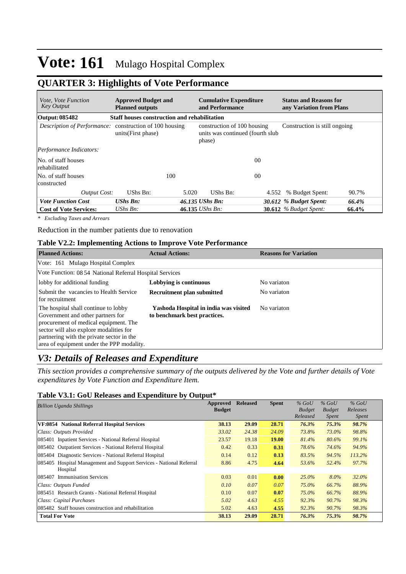## **QUARTER 3: Highlights of Vote Performance**

| <i>Vote, Vote Function</i><br><b>Key Output</b>         | <b>Approved Budget and</b><br><b>Planned outputs</b> |       | <b>Cumulative Expenditure</b><br>and Performance                           |                | <b>Status and Reasons for</b><br>any Variation from Plans |       |  |  |  |  |
|---------------------------------------------------------|------------------------------------------------------|-------|----------------------------------------------------------------------------|----------------|-----------------------------------------------------------|-------|--|--|--|--|
| Output: 085482                                          | <b>Staff houses construction and rehabilitation</b>  |       |                                                                            |                |                                                           |       |  |  |  |  |
| Description of Performance: construction of 100 housing | units(First phase)                                   |       | construction of 100 housing<br>units was continued (fourth slub)<br>phase) |                | Construction is still ongoing                             |       |  |  |  |  |
| Performance Indicators:                                 |                                                      |       |                                                                            |                |                                                           |       |  |  |  |  |
| No. of staff houses<br>rehabilitated                    |                                                      |       |                                                                            | 0 <sup>0</sup> |                                                           |       |  |  |  |  |
| No. of staff houses<br>constructed                      |                                                      | 100   |                                                                            | 00             |                                                           |       |  |  |  |  |
| <b>Output Cost:</b>                                     | UShs Bn:                                             | 5.020 | UShs Bn:                                                                   | 4.552          | % Budget Spent:                                           | 90.7% |  |  |  |  |
| <b>Vote Function Cost</b>                               | <b>UShs Bn:</b>                                      |       | 46.135 UShs Bn:                                                            |                | 30.612 % Budget Spent:                                    | 66.4% |  |  |  |  |
| <b>Cost of Vote Services:</b>                           | $UShs Bn$ :                                          |       | 46.135 UShs Bn:                                                            |                | <b>30.612</b> % Budget Spent:                             | 66.4% |  |  |  |  |

*\* Excluding Taxes and Arrears*

Reduction in the number patients due to renovation

#### **Table V2.2: Implementing Actions to Improve Vote Performance**

| <b>Planned Actions:</b>                                                                                                                                                                                                                                 | <b>Actual Actions:</b>                                                | <b>Reasons for Variation</b> |
|---------------------------------------------------------------------------------------------------------------------------------------------------------------------------------------------------------------------------------------------------------|-----------------------------------------------------------------------|------------------------------|
| Vote: 161 Mulago Hospital Complex                                                                                                                                                                                                                       |                                                                       |                              |
| Vote Function: 08 54 National Referral Hospital Services                                                                                                                                                                                                |                                                                       |                              |
| lobby for additional funding                                                                                                                                                                                                                            | Lobbying is continuous                                                | No variaton                  |
| Submit the vacancies to Health Service<br>for recruitment                                                                                                                                                                                               | Recruitment plan submitted                                            | No variaton                  |
| The hospital shall continue to lobby<br>Government and other partners for<br>procurement of medical equipment. The<br>sector will also explore modalities for<br>partnering with the private sector in the<br>area of equipment under the PPP modality. | Yashoda Hospital in india was visited<br>to benchmark best practices. | No variaton                  |

### *V3: Details of Releases and Expenditure*

*This section provides a comprehensive summary of the outputs delivered by the Vote and further details of Vote expenditures by Vote Function and Expenditure Item.*

#### **Table V3.1: GoU Releases and Expenditure by Output\***

| <b>Billion Uganda Shillings</b>                                        | Approved      | <b>Released</b> | <b>Spent</b> | $%$ GoU       | $%$ GoU       | $%$ GoU      |
|------------------------------------------------------------------------|---------------|-----------------|--------------|---------------|---------------|--------------|
|                                                                        | <b>Budget</b> |                 |              | <b>Budget</b> | <b>Budget</b> | Releases     |
|                                                                        |               |                 |              | Released      | <i>Spent</i>  | <i>Spent</i> |
| VF:0854 National Referral Hospital Services                            | 38.13         | 29.09           | 28.71        | 76.3%         | 75.3%         | 98.7%        |
| Class: Outputs Provided                                                | 33.02         | 24.38           | 24.09        | 73.8%         | 73.0%         | 98.8%        |
| 085401 Inpatient Services - National Referral Hospital                 | 23.57         | 19.18           | <b>19.00</b> | 81.4%         | 80.6%         | 99.1%        |
| 085402 Outpatient Services - National Referral Hospital                | 0.42          | 0.33            | 0.31         | 78.6%         | 74.6%         | 94.9%        |
| 085404 Diagnostic Services - National Referral Hospital                | 0.14          | 0.12            | 0.13         | 83.5%         | 94.5%         | 113.2%       |
| Hospital Management and Support Services - National Referral<br>085405 | 8.86          | 4.75            | 4.64         | 53.6%         | 52.4%         | 97.7%        |
| Hospital                                                               |               |                 |              |               |               |              |
| <b>Immunisation Services</b><br>085407                                 | 0.03          | 0.01            | 0.00         | $25.0\%$      | $8.0\%$       | 32.0%        |
| Class: Outputs Funded                                                  | 0.10          | 0.07            | 0.07         | 75.0%         | 66.7%         | 88.9%        |
| 085451 Research Grants - National Referral Hospital                    | 0.10          | 0.07            | 0.07         | 75.0%         | 66.7%         | 88.9%        |
| Class: Capital Purchases                                               | 5.02          | 4.63            | 4.55         | 92.3%         | 90.7%         | 98.3%        |
| 085482 Staff houses construction and rehabilitation                    | 5.02          | 4.63            | 4.55         | 92.3%         | 90.7%         | 98.3%        |
| <b>Total For Vote</b>                                                  | 38.13         | 29.09           | 28.71        | 76.3%         | 75.3%         | 98.7%        |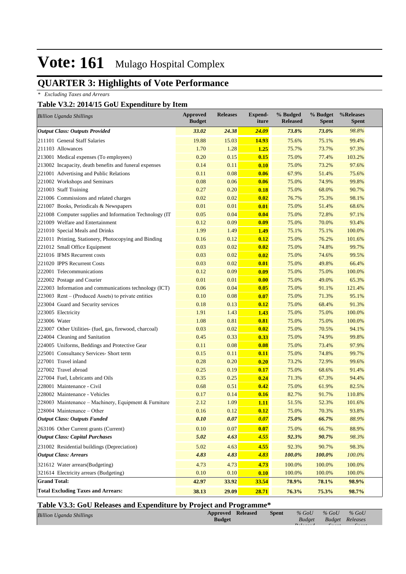## **QUARTER 3: Highlights of Vote Performance**

*\* Excluding Taxes and Arrears*

### **Table V3.2: 2014/15 GoU Expenditure by Item**

| <b>Billion Uganda Shillings</b>                         | <b>Approved</b><br><b>Budget</b> | <b>Releases</b> | <b>Expend-</b><br>iture | % Budged<br><b>Released</b> | % Budget<br><b>Spent</b> | %Releases<br><b>Spent</b> |
|---------------------------------------------------------|----------------------------------|-----------------|-------------------------|-----------------------------|--------------------------|---------------------------|
| <b>Output Class: Outputs Provided</b>                   | 33.02                            | 24.38           | <b>24.09</b>            | 73.8%                       | 73.0%                    | 98.8%                     |
| 211101 General Staff Salaries                           | 19.88                            | 15.03           | 14.93                   | 75.6%                       | 75.1%                    | 99.4%                     |
| 211103 Allowances                                       | 1.70                             | 1.28            | <b>1.25</b>             | 75.7%                       | 73.7%                    | 97.3%                     |
| 213001 Medical expenses (To employees)                  | 0.20                             | 0.15            | 0.15                    | 75.0%                       | 77.4%                    | 103.2%                    |
| 213002 Incapacity, death benefits and funeral expenses  | 0.14                             | 0.11            | 0.10                    | 75.0%                       | 73.2%                    | 97.6%                     |
| 221001 Advertising and Public Relations                 | 0.11                             | 0.08            | 0.06                    | 67.9%                       | 51.4%                    | 75.6%                     |
| 221002 Workshops and Seminars                           | 0.08                             | 0.06            | 0.06                    | 75.0%                       | 74.9%                    | 99.8%                     |
| 221003 Staff Training                                   | 0.27                             | 0.20            | 0.18                    | 75.0%                       | 68.0%                    | 90.7%                     |
| 221006 Commissions and related charges                  | 0.02                             | 0.02            | 0.02                    | 76.7%                       | 75.3%                    | 98.1%                     |
| 221007 Books, Periodicals & Newspapers                  | 0.01                             | 0.01            | 0.01                    | 75.0%                       | 51.4%                    | 68.6%                     |
| 221008 Computer supplies and Information Technology (IT | 0.05                             | 0.04            | 0.04                    | 75.0%                       | 72.8%                    | 97.1%                     |
| 221009 Welfare and Entertainment                        | 0.12                             | 0.09            | 0.09                    | 75.0%                       | 70.0%                    | 93.4%                     |
| 221010 Special Meals and Drinks                         | 1.99                             | 1.49            | <b>1.49</b>             | 75.1%                       | 75.1%                    | 100.0%                    |
| 221011 Printing, Stationery, Photocopying and Binding   | 0.16                             | 0.12            | 0.12                    | 75.0%                       | 76.2%                    | 101.6%                    |
| 221012 Small Office Equipment                           | 0.03                             | 0.02            | 0.02                    | 75.0%                       | 74.8%                    | 99.7%                     |
| 221016 IFMS Recurrent costs                             | 0.03                             | 0.02            | 0.02                    | 75.0%                       | 74.6%                    | 99.5%                     |
| 221020 IPPS Recurrent Costs                             | 0.03                             | 0.02            | 0.01                    | 75.0%                       | 49.8%                    | 66.4%                     |
| 222001 Telecommunications                               | 0.12                             | 0.09            | 0.09                    | 75.0%                       | 75.0%                    | 100.0%                    |
| 222002 Postage and Courier                              | 0.01                             | 0.01            | 0.00                    | 75.0%                       | 49.0%                    | 65.3%                     |
| 222003 Information and communications technology (ICT)  | 0.06                             | 0.04            | 0.05                    | 75.0%                       | 91.1%                    | 121.4%                    |
| 223003 Rent – (Produced Assets) to private entities     | 0.10                             | 0.08            | 0.07                    | 75.0%                       | 71.3%                    | 95.1%                     |
| 223004 Guard and Security services                      | 0.18                             | 0.13            | 0.12                    | 75.0%                       | 68.4%                    | 91.3%                     |
| 223005 Electricity                                      | 1.91                             | 1.43            | 1.43                    | 75.0%                       | 75.0%                    | 100.0%                    |
| 223006 Water                                            | 1.08                             | 0.81            | 0.81                    | 75.0%                       | 75.0%                    | 100.0%                    |
| 223007 Other Utilities- (fuel, gas, firewood, charcoal) | 0.03                             | 0.02            | 0.02                    | 75.0%                       | 70.5%                    | 94.1%                     |
| 224004 Cleaning and Sanitation                          | 0.45                             | 0.33            | 0.33                    | 75.0%                       | 74.9%                    | 99.8%                     |
| 224005 Uniforms, Beddings and Protective Gear           | 0.11                             | 0.08            | 0.08                    | 75.0%                       | 73.4%                    | 97.9%                     |
| 225001 Consultancy Services- Short term                 | 0.15                             | 0.11            | 0.11                    | 75.0%                       | 74.8%                    | 99.7%                     |
| 227001 Travel inland                                    | 0.28                             | 0.20            | 0.20                    | 73.2%                       | 72.9%                    | 99.6%                     |
| 227002 Travel abroad                                    | 0.25                             | 0.19            | 0.17                    | 75.0%                       | 68.6%                    | 91.4%                     |
| 227004 Fuel, Lubricants and Oils                        | 0.35                             | 0.25            | 0.24                    | 71.3%                       | 67.3%                    | 94.4%                     |
| 228001 Maintenance - Civil                              | 0.68                             | 0.51            | 0.42                    | 75.0%                       | 61.9%                    | 82.5%                     |
| 228002 Maintenance - Vehicles                           | 0.17                             | 0.14            | 0.16                    | 82.7%                       | 91.7%                    | 110.8%                    |
| 228003 Maintenance – Machinery, Equipment & Furniture   | 2.12                             | 1.09            | <b>1.11</b>             | 51.5%                       | 52.3%                    | 101.6%                    |
| 228004 Maintenance – Other                              | 0.16                             | 0.12            | 0.12                    | 75.0%                       | 70.3%                    | 93.8%                     |
| <b>Output Class: Outputs Funded</b>                     | 0.10                             | 0.07            | 0.07                    | 75.0%                       | 66.7%                    | 88.9%                     |
| 263106 Other Current grants (Current)                   | 0.10                             | $0.07\,$        | 0.07                    | 75.0%                       | 66.7%                    | 88.9%                     |
| <b>Output Class: Capital Purchases</b>                  | 5.02                             | 4.63            | 4.55                    | 92.3%                       | 90.7%                    | 98.3%                     |
| 231002 Residential buildings (Depreciation)             | 5.02                             | 4.63            | 4.55                    | 92.3%                       | 90.7%                    | 98.3%                     |
| <b>Output Class: Arrears</b>                            | 4.83                             | 4.83            | 4.83                    | 100.0%                      | 100.0%                   | $100.0\%$                 |
| 321612 Water arrears(Budgeting)                         | 4.73                             | 4.73            | 4.73                    | 100.0%                      | 100.0%                   | 100.0%                    |
| 321614 Electricity arrears (Budgeting)                  | 0.10                             | 0.10            | 0.10                    | 100.0%                      | 100.0%                   | 100.0%                    |
| <b>Grand Total:</b>                                     | 42.97                            | 33.92           | 33.54                   | 78.9%                       | 78.1%                    | 98.9%                     |
| <b>Total Excluding Taxes and Arrears:</b>               | 38.13                            | 29.09           | 28.71                   | 76.3%                       | 75.3%                    | 98.7%                     |

### **Table V3.3: GoU Releases and Expenditure by Project and Programme\***

| <b>Billion Uganda Shillings</b> | <b>Approved Released</b> | <b>Spent</b> | $%$ GoU | $\%$ GoU               | $%$ GoU |
|---------------------------------|--------------------------|--------------|---------|------------------------|---------|
|                                 | <b>Budget</b>            |              | Budget  | <b>Budget Releases</b> |         |
|                                 |                          |              |         |                        |         |
|                                 |                          |              |         |                        |         |